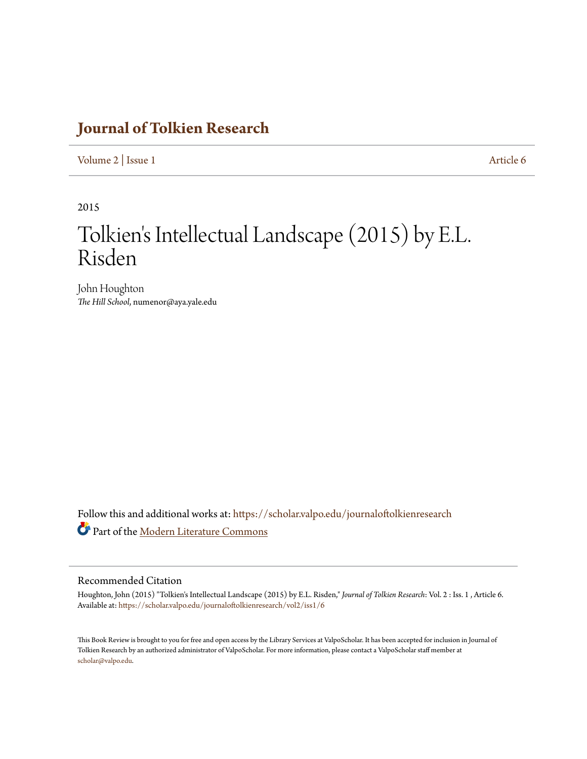## **[Journal of Tolkien Research](https://scholar.valpo.edu/journaloftolkienresearch?utm_source=scholar.valpo.edu%2Fjournaloftolkienresearch%2Fvol2%2Fiss1%2F6&utm_medium=PDF&utm_campaign=PDFCoverPages)**

[Volume 2](https://scholar.valpo.edu/journaloftolkienresearch/vol2?utm_source=scholar.valpo.edu%2Fjournaloftolkienresearch%2Fvol2%2Fiss1%2F6&utm_medium=PDF&utm_campaign=PDFCoverPages) | [Issue 1](https://scholar.valpo.edu/journaloftolkienresearch/vol2/iss1?utm_source=scholar.valpo.edu%2Fjournaloftolkienresearch%2Fvol2%2Fiss1%2F6&utm_medium=PDF&utm_campaign=PDFCoverPages) [Article 6](https://scholar.valpo.edu/journaloftolkienresearch/vol2/iss1/6?utm_source=scholar.valpo.edu%2Fjournaloftolkienresearch%2Fvol2%2Fiss1%2F6&utm_medium=PDF&utm_campaign=PDFCoverPages)

2015

## Tolkien 's Intellectual Landscape (2015) by E.L. Risden

John Houghton *The Hill School*, numenor@aya.yale.edu

Follow this and additional works at: [https://scholar.valpo.edu/journaloftolkienresearch](https://scholar.valpo.edu/journaloftolkienresearch?utm_source=scholar.valpo.edu%2Fjournaloftolkienresearch%2Fvol2%2Fiss1%2F6&utm_medium=PDF&utm_campaign=PDFCoverPages) Part of the [Modern Literature Commons](http://network.bepress.com/hgg/discipline/1050?utm_source=scholar.valpo.edu%2Fjournaloftolkienresearch%2Fvol2%2Fiss1%2F6&utm_medium=PDF&utm_campaign=PDFCoverPages)

## Recommended Citation

Houghton, John (2015) "Tolkien's Intellectual Landscape (2015) by E.L. Risden," *Journal of Tolkien Research*: Vol. 2 : Iss. 1 , Article 6. Available at: [https://scholar.valpo.edu/journaloftolkienresearch/vol2/iss1/6](https://scholar.valpo.edu/journaloftolkienresearch/vol2/iss1/6?utm_source=scholar.valpo.edu%2Fjournaloftolkienresearch%2Fvol2%2Fiss1%2F6&utm_medium=PDF&utm_campaign=PDFCoverPages)

This Book Review is brought to you for free and open access by the Library Services at ValpoScholar. It has been accepted for inclusion in Journal of Tolkien Research by an authorized administrator of ValpoScholar. For more information, please contact a ValpoScholar staff member at [scholar@valpo.edu.](mailto:scholar@valpo.edu)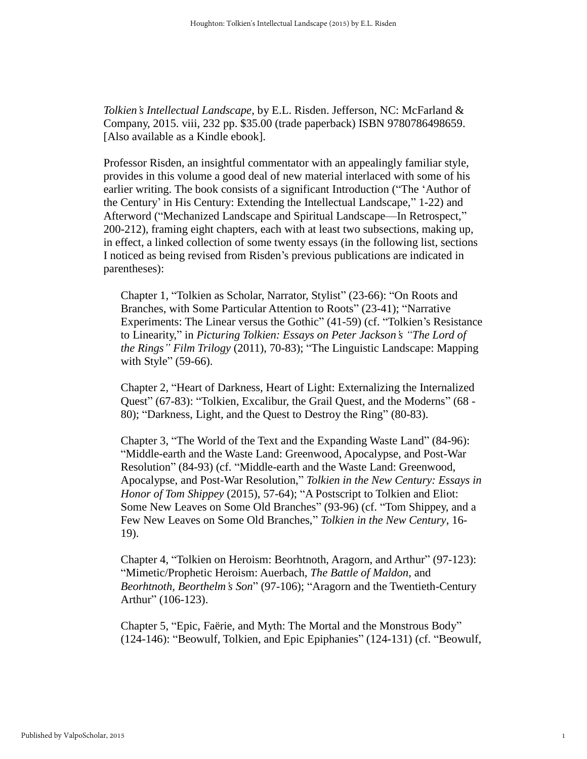*Tolkien's Intellectual Landscape*, by E.L. Risden. Jefferson, NC: McFarland & Company, 2015. viii, 232 pp. \$35.00 (trade paperback) ISBN 9780786498659. [Also available as a Kindle ebook].

Professor Risden, an insightful commentator with an appealingly familiar style, provides in this volume a good deal of new material interlaced with some of his earlier writing. The book consists of a significant Introduction ("The 'Author of the Century' in His Century: Extending the Intellectual Landscape," 1-22) and Afterword ("Mechanized Landscape and Spiritual Landscape—In Retrospect," 200-212), framing eight chapters, each with at least two subsections, making up, in effect, a linked collection of some twenty essays (in the following list, sections I noticed as being revised from Risden's previous publications are indicated in parentheses):

Chapter 1, "Tolkien as Scholar, Narrator, Stylist" (23-66): "On Roots and Branches, with Some Particular Attention to Roots" (23-41); "Narrative Experiments: The Linear versus the Gothic" (41-59) (cf. "Tolkien's Resistance to Linearity," in *Picturing Tolkien: Essays on Peter Jackson's "The Lord of the Rings" Film Trilogy* (2011), 70-83); "The Linguistic Landscape: Mapping with Style" (59-66).

Chapter 2, "Heart of Darkness, Heart of Light: Externalizing the Internalized Quest" (67-83): "Tolkien, Excalibur, the Grail Quest, and the Moderns" (68 - 80); "Darkness, Light, and the Quest to Destroy the Ring" (80-83).

Chapter 3, "The World of the Text and the Expanding Waste Land" (84-96): "Middle-earth and the Waste Land: Greenwood, Apocalypse, and Post-War Resolution" (84-93) (cf. "Middle-earth and the Waste Land: Greenwood, Apocalypse, and Post-War Resolution," *Tolkien in the New Century: Essays in Honor of Tom Shippey* (2015), 57-64); "A Postscript to Tolkien and Eliot: Some New Leaves on Some Old Branches" (93-96) (cf. "Tom Shippey, and a Few New Leaves on Some Old Branches," *Tolkien in the New Century*, 16- 19).

Chapter 4, "Tolkien on Heroism: Beorhtnoth, Aragorn, and Arthur" (97-123): "Mimetic/Prophetic Heroism: Auerbach, *The Battle of Maldon*, and *Beorhtnoth, Beorthelm's Son*" (97-106); "Aragorn and the Twentieth-Century Arthur" (106-123).

Chapter 5, "Epic, Faërie, and Myth: The Mortal and the Monstrous Body" (124-146): "Beowulf, Tolkien, and Epic Epiphanies" (124-131) (cf. "Beowulf,

1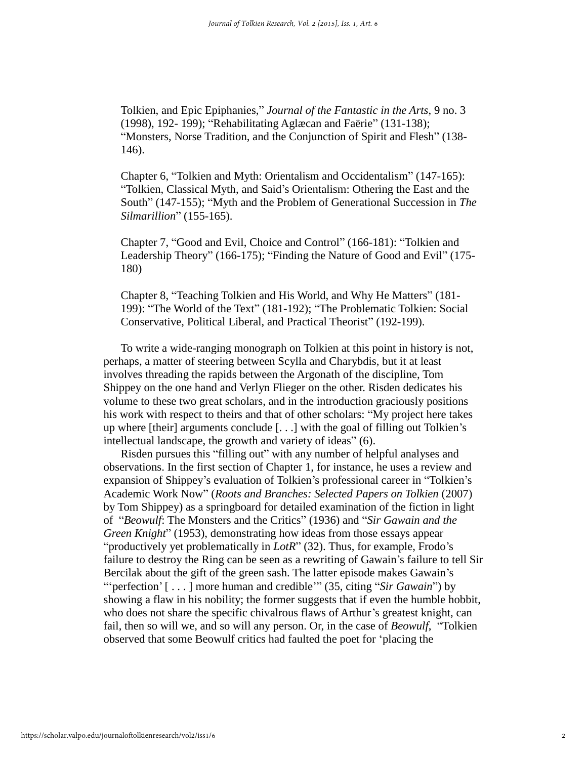Tolkien, and Epic Epiphanies," *Journal of the Fantastic in the Arts*, 9 no. 3 (1998), 192- 199); "Rehabilitating Aglæcan and Faërie" (131-138); "Monsters, Norse Tradition, and the Conjunction of Spirit and Flesh" (138- 146).

Chapter 6, "Tolkien and Myth: Orientalism and Occidentalism" (147-165): "Tolkien, Classical Myth, and Said's Orientalism: Othering the East and the South" (147-155); "Myth and the Problem of Generational Succession in *The Silmarillion*" (155-165).

Chapter 7, "Good and Evil, Choice and Control" (166-181): "Tolkien and Leadership Theory" (166-175); "Finding the Nature of Good and Evil" (175- 180)

Chapter 8, "Teaching Tolkien and His World, and Why He Matters" (181- 199): "The World of the Text" (181-192); "The Problematic Tolkien: Social Conservative, Political Liberal, and Practical Theorist" (192-199).

To write a wide-ranging monograph on Tolkien at this point in history is not, perhaps, a matter of steering between Scylla and Charybdis, but it at least involves threading the rapids between the Argonath of the discipline, Tom Shippey on the one hand and Verlyn Flieger on the other. Risden dedicates his volume to these two great scholars, and in the introduction graciously positions his work with respect to theirs and that of other scholars: "My project here takes up where [their] arguments conclude [. . .] with the goal of filling out Tolkien's intellectual landscape, the growth and variety of ideas" (6).

Risden pursues this "filling out" with any number of helpful analyses and observations. In the first section of Chapter 1, for instance, he uses a review and expansion of Shippey's evaluation of Tolkien's professional career in "Tolkien's Academic Work Now" (*Roots and Branches: Selected Papers on Tolkien* (2007) by Tom Shippey) as a springboard for detailed examination of the fiction in light of "*Beowulf*: The Monsters and the Critics" (1936) and "*Sir Gawain and the Green Knight*" (1953), demonstrating how ideas from those essays appear "productively yet problematically in *LotR*" (32). Thus, for example, Frodo's failure to destroy the Ring can be seen as a rewriting of Gawain's failure to tell Sir Bercilak about the gift of the green sash. The latter episode makes Gawain's ""perfection' [ . . . ] more human and credible"" (35, citing "*Sir Gawain*") by showing a flaw in his nobility; the former suggests that if even the humble hobbit, who does not share the specific chivalrous flaws of Arthur's greatest knight, can fail, then so will we, and so will any person. Or, in the case of *Beowulf*, "Tolkien observed that some Beowulf critics had faulted the poet for 'placing the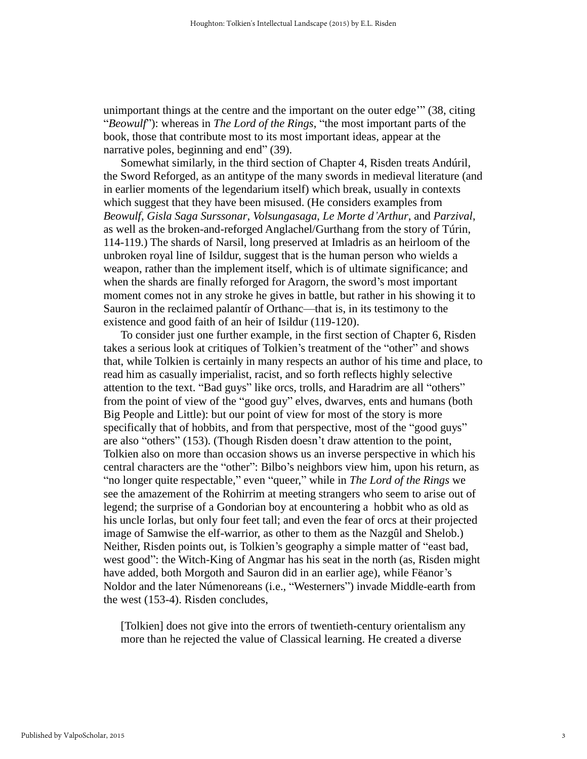unimportant things at the centre and the important on the outer edge'" (38, citing "*Beowulf*"): whereas in *The Lord of the Rings*, "the most important parts of the book, those that contribute most to its most important ideas, appear at the narrative poles, beginning and end" (39).

Somewhat similarly, in the third section of Chapter 4, Risden treats Andúril, the Sword Reforged, as an antitype of the many swords in medieval literature (and in earlier moments of the legendarium itself) which break, usually in contexts which suggest that they have been misused. (He considers examples from *Beowulf*, *Gisla Saga Surssonar*, *Volsungasaga*, *Le Morte d'Arthur*, and *Parzival*, as well as the broken-and-reforged Anglachel/Gurthang from the story of Túrin, 114-119.) The shards of Narsil, long preserved at Imladris as an heirloom of the unbroken royal line of Isildur, suggest that is the human person who wields a weapon, rather than the implement itself, which is of ultimate significance; and when the shards are finally reforged for Aragorn, the sword's most important moment comes not in any stroke he gives in battle, but rather in his showing it to Sauron in the reclaimed palantír of Orthanc—that is, in its testimony to the existence and good faith of an heir of Isildur (119-120).

To consider just one further example, in the first section of Chapter 6, Risden takes a serious look at critiques of Tolkien's treatment of the "other" and shows that, while Tolkien is certainly in many respects an author of his time and place, to read him as casually imperialist, racist, and so forth reflects highly selective attention to the text. "Bad guys" like orcs, trolls, and Haradrim are all "others" from the point of view of the "good guy" elves, dwarves, ents and humans (both Big People and Little): but our point of view for most of the story is more specifically that of hobbits, and from that perspective, most of the "good guys" are also "others" (153). (Though Risden doesn't draw attention to the point, Tolkien also on more than occasion shows us an inverse perspective in which his central characters are the "other": Bilbo's neighbors view him, upon his return, as "no longer quite respectable," even "queer," while in *The Lord of the Rings* we see the amazement of the Rohirrim at meeting strangers who seem to arise out of legend; the surprise of a Gondorian boy at encountering a hobbit who as old as his uncle Iorlas, but only four feet tall; and even the fear of orcs at their projected image of Samwise the elf-warrior, as other to them as the Nazgûl and Shelob.) Neither, Risden points out, is Tolkien's geography a simple matter of "east bad, west good": the Witch-King of Angmar has his seat in the north (as, Risden might have added, both Morgoth and Sauron did in an earlier age), while Fëanor's Noldor and the later Númenoreans (i.e., "Westerners") invade Middle-earth from the west (153-4). Risden concludes,

[Tolkien] does not give into the errors of twentieth-century orientalism any more than he rejected the value of Classical learning. He created a diverse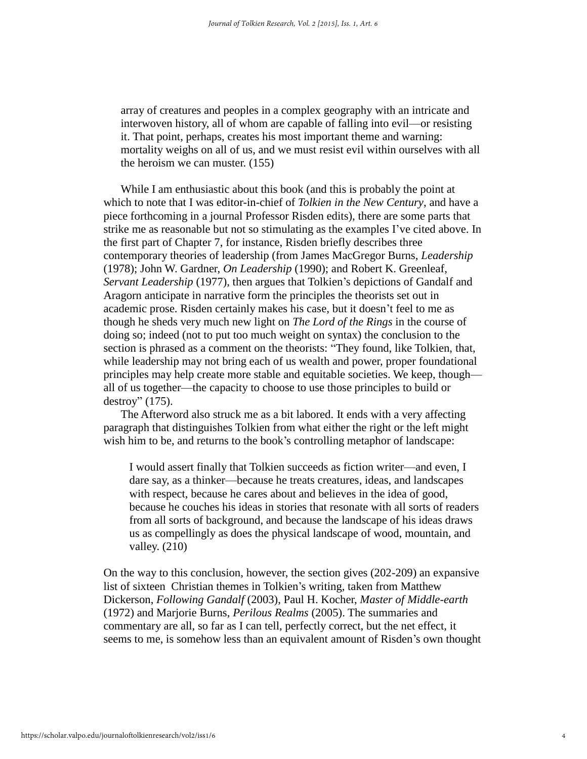array of creatures and peoples in a complex geography with an intricate and interwoven history, all of whom are capable of falling into evil—or resisting it. That point, perhaps, creates his most important theme and warning: mortality weighs on all of us, and we must resist evil within ourselves with all the heroism we can muster. (155)

While I am enthusiastic about this book (and this is probably the point at which to note that I was editor-in-chief of *Tolkien in the New Century*, and have a piece forthcoming in a journal Professor Risden edits), there are some parts that strike me as reasonable but not so stimulating as the examples I've cited above. In the first part of Chapter 7, for instance, Risden briefly describes three contemporary theories of leadership (from James MacGregor Burns, *Leadership* (1978); John W. Gardner, *On Leadership* (1990); and Robert K. Greenleaf, *Servant Leadership* (1977), then argues that Tolkien's depictions of Gandalf and Aragorn anticipate in narrative form the principles the theorists set out in academic prose. Risden certainly makes his case, but it doesn't feel to me as though he sheds very much new light on *The Lord of the Rings* in the course of doing so; indeed (not to put too much weight on syntax) the conclusion to the section is phrased as a comment on the theorists: "They found, like Tolkien, that, while leadership may not bring each of us wealth and power, proper foundational principles may help create more stable and equitable societies. We keep, though all of us together—the capacity to choose to use those principles to build or destroy" (175).

The Afterword also struck me as a bit labored. It ends with a very affecting paragraph that distinguishes Tolkien from what either the right or the left might wish him to be, and returns to the book's controlling metaphor of landscape:

I would assert finally that Tolkien succeeds as fiction writer—and even, I dare say, as a thinker—because he treats creatures, ideas, and landscapes with respect, because he cares about and believes in the idea of good, because he couches his ideas in stories that resonate with all sorts of readers from all sorts of background, and because the landscape of his ideas draws us as compellingly as does the physical landscape of wood, mountain, and valley. (210)

On the way to this conclusion, however, the section gives (202-209) an expansive list of sixteen Christian themes in Tolkien's writing, taken from Matthew Dickerson, *Following Gandalf* (2003), Paul H. Kocher, *Master of Middle-earth* (1972) and Marjorie Burns, *Perilous Realms* (2005). The summaries and commentary are all, so far as I can tell, perfectly correct, but the net effect, it seems to me, is somehow less than an equivalent amount of Risden's own thought